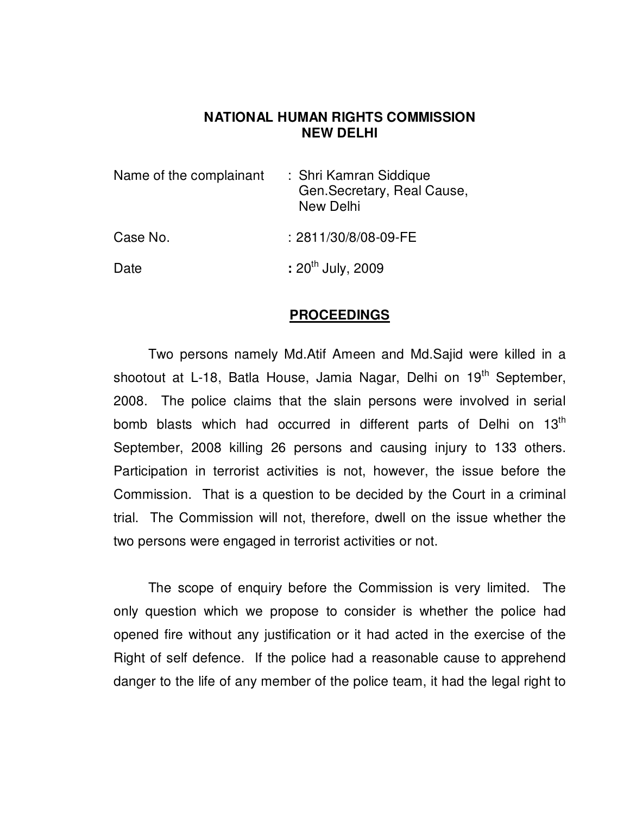## **NATIONAL HUMAN RIGHTS COMMISSION NEW DELHI**

| Name of the complainant | : Shri Kamran Siddique<br>Gen.Secretary, Real Cause,<br>New Delhi |
|-------------------------|-------------------------------------------------------------------|
| Case No.                | : 2811/30/8/08-09-FE                                              |
| Date                    | : $20^{th}$ July, 2009                                            |

## **PROCEEDINGS**

 Two persons namely Md.Atif Ameen and Md.Sajid were killed in a shootout at L-18, Batla House, Jamia Nagar, Delhi on 19<sup>th</sup> September, 2008. The police claims that the slain persons were involved in serial bomb blasts which had occurred in different parts of Delhi on 13<sup>th</sup> September, 2008 killing 26 persons and causing injury to 133 others. Participation in terrorist activities is not, however, the issue before the Commission. That is a question to be decided by the Court in a criminal trial. The Commission will not, therefore, dwell on the issue whether the two persons were engaged in terrorist activities or not.

 The scope of enquiry before the Commission is very limited. The only question which we propose to consider is whether the police had opened fire without any justification or it had acted in the exercise of the Right of self defence. If the police had a reasonable cause to apprehend danger to the life of any member of the police team, it had the legal right to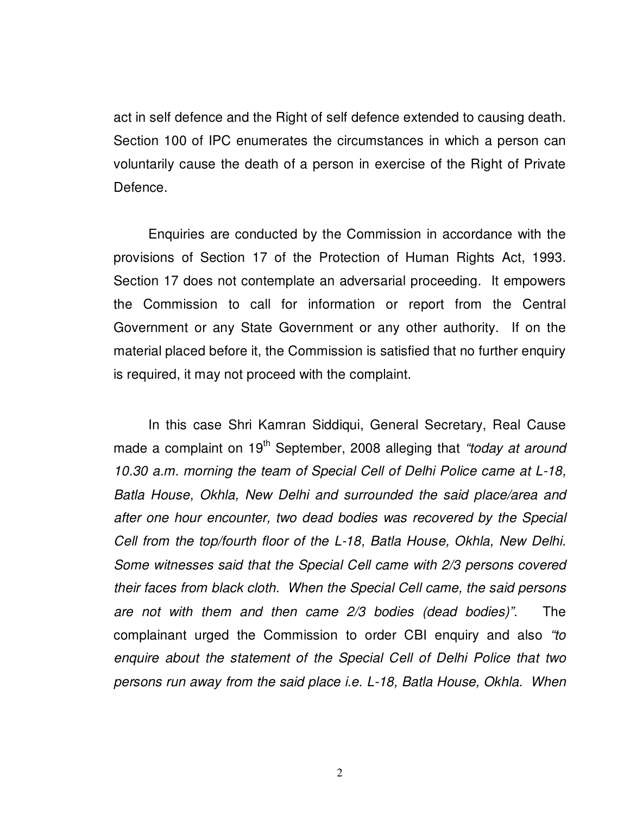act in self defence and the Right of self defence extended to causing death. Section 100 of IPC enumerates the circumstances in which a person can voluntarily cause the death of a person in exercise of the Right of Private Defence.

 Enquiries are conducted by the Commission in accordance with the provisions of Section 17 of the Protection of Human Rights Act, 1993. Section 17 does not contemplate an adversarial proceeding. It empowers the Commission to call for information or report from the Central Government or any State Government or any other authority. If on the material placed before it, the Commission is satisfied that no further enquiry is required, it may not proceed with the complaint.

In this case Shri Kamran Siddiqui, General Secretary, Real Cause made a complaint on  $19<sup>th</sup>$  September, 2008 alleging that "today at around 10.30 a.m. morning the team of Special Cell of Delhi Police came at L-18, Batla House, Okhla, New Delhi and surrounded the said place/area and after one hour encounter, two dead bodies was recovered by the Special Cell from the top/fourth floor of the L-18, Batla House, Okhla, New Delhi. Some witnesses said that the Special Cell came with 2/3 persons covered their faces from black cloth. When the Special Cell came, the said persons are not with them and then came 2/3 bodies (dead bodies)". The complainant urged the Commission to order CBI enquiry and also "to enquire about the statement of the Special Cell of Delhi Police that two persons run away from the said place i.e. L-18, Batla House, Okhla. When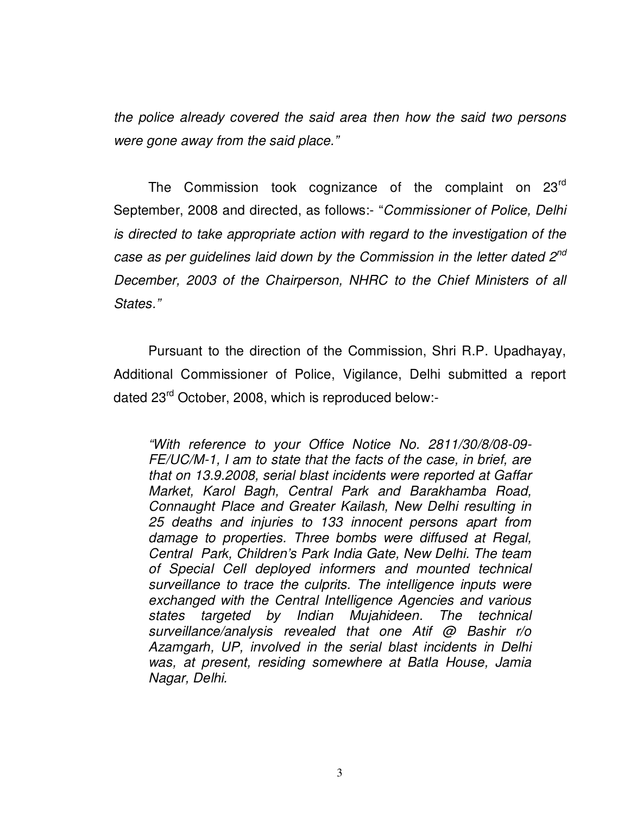the police already covered the said area then how the said two persons were gone away from the said place."

The Commission took cognizance of the complaint on 23<sup>rd</sup> September, 2008 and directed, as follows:- "Commissioner of Police, Delhi is directed to take appropriate action with regard to the investigation of the case as per quidelines laid down by the Commission in the letter dated  $2^{nd}$ December, 2003 of the Chairperson, NHRC to the Chief Ministers of all States."

 Pursuant to the direction of the Commission, Shri R.P. Upadhayay, Additional Commissioner of Police, Vigilance, Delhi submitted a report dated 23rd October, 2008, which is reproduced below:-

"With reference to your Office Notice No. 2811/30/8/08-09- FE/UC/M-1, I am to state that the facts of the case, in brief, are that on 13.9.2008, serial blast incidents were reported at Gaffar Market, Karol Bagh, Central Park and Barakhamba Road, Connaught Place and Greater Kailash, New Delhi resulting in 25 deaths and injuries to 133 innocent persons apart from damage to properties. Three bombs were diffused at Regal, Central Park, Children's Park India Gate, New Delhi. The team of Special Cell deployed informers and mounted technical surveillance to trace the culprits. The intelligence inputs were exchanged with the Central Intelligence Agencies and various states targeted by Indian Mujahideen. The technical surveillance/analysis revealed that one Atif @ Bashir r/o Azamgarh, UP, involved in the serial blast incidents in Delhi was, at present, residing somewhere at Batla House, Jamia Nagar, Delhi.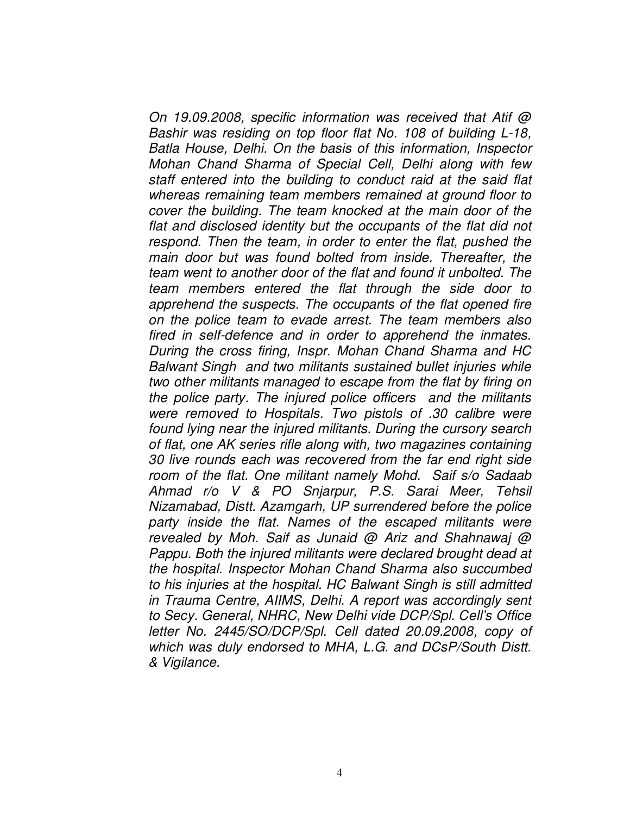On 19.09.2008, specific information was received that Atif @ Bashir was residing on top floor flat No. 108 of building L-18, Batla House, Delhi. On the basis of this information, Inspector Mohan Chand Sharma of Special Cell, Delhi along with few staff entered into the building to conduct raid at the said flat whereas remaining team members remained at ground floor to cover the building. The team knocked at the main door of the flat and disclosed identity but the occupants of the flat did not respond. Then the team, in order to enter the flat, pushed the main door but was found bolted from inside. Thereafter, the team went to another door of the flat and found it unbolted. The team members entered the flat through the side door to apprehend the suspects. The occupants of the flat opened fire on the police team to evade arrest. The team members also fired in self-defence and in order to apprehend the inmates. During the cross firing, Inspr. Mohan Chand Sharma and HC Balwant Singh and two militants sustained bullet injuries while two other militants managed to escape from the flat by firing on the police party. The injured police officers and the militants were removed to Hospitals. Two pistols of .30 calibre were found lying near the injured militants. During the cursory search of flat, one AK series rifle along with, two magazines containing 30 live rounds each was recovered from the far end right side room of the flat. One militant namely Mohd. Saif s/o Sadaab Ahmad r/o V & PO Snjarpur, P.S. Sarai Meer, Tehsil Nizamabad, Distt. Azamgarh, UP surrendered before the police party inside the flat. Names of the escaped militants were revealed by Moh. Saif as Junaid @ Ariz and Shahnawaj @ Pappu. Both the injured militants were declared brought dead at the hospital. Inspector Mohan Chand Sharma also succumbed to his injuries at the hospital. HC Balwant Singh is still admitted in Trauma Centre, AIIMS, Delhi. A report was accordingly sent to Secy. General, NHRC, New Delhi vide DCP/Spl. Cell's Office letter No. 2445/SO/DCP/Spl. Cell dated 20.09.2008, copy of which was duly endorsed to MHA, L.G. and DCsP/South Distt. & Vigilance.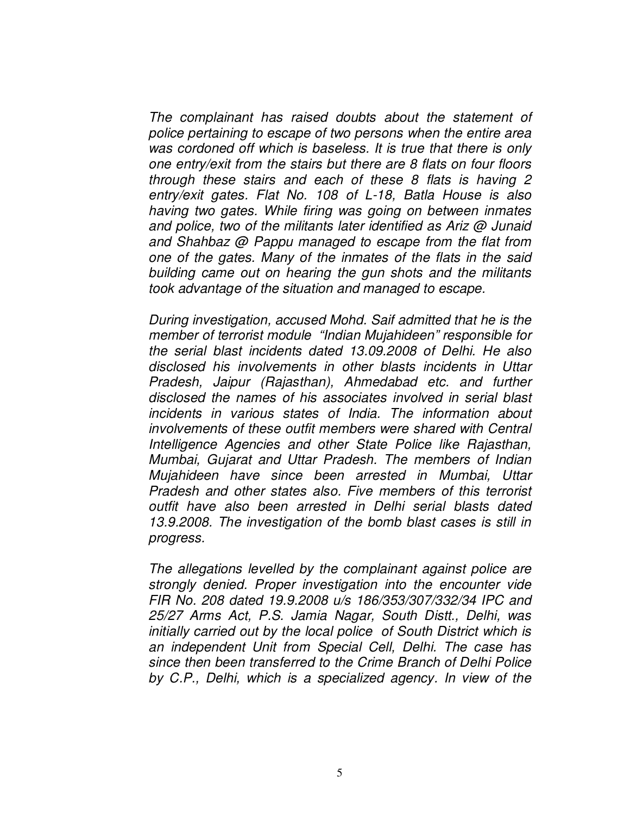The complainant has raised doubts about the statement of police pertaining to escape of two persons when the entire area was cordoned off which is baseless. It is true that there is only one entry/exit from the stairs but there are 8 flats on four floors through these stairs and each of these 8 flats is having 2 entry/exit gates. Flat No. 108 of L-18, Batla House is also having two gates. While firing was going on between inmates and police, two of the militants later identified as Ariz @ Junaid and Shahbaz @ Pappu managed to escape from the flat from one of the gates. Many of the inmates of the flats in the said building came out on hearing the gun shots and the militants took advantage of the situation and managed to escape.

 During investigation, accused Mohd. Saif admitted that he is the member of terrorist module "Indian Mujahideen" responsible for the serial blast incidents dated 13.09.2008 of Delhi. He also disclosed his involvements in other blasts incidents in Uttar Pradesh, Jaipur (Rajasthan), Ahmedabad etc. and further disclosed the names of his associates involved in serial blast incidents in various states of India. The information about involvements of these outfit members were shared with Central Intelligence Agencies and other State Police like Rajasthan, Mumbai, Gujarat and Uttar Pradesh. The members of Indian Mujahideen have since been arrested in Mumbai, Uttar Pradesh and other states also. Five members of this terrorist outfit have also been arrested in Delhi serial blasts dated 13.9.2008. The investigation of the bomb blast cases is still in progress.

 The allegations levelled by the complainant against police are strongly denied. Proper investigation into the encounter vide FIR No. 208 dated 19.9.2008 u/s 186/353/307/332/34 IPC and 25/27 Arms Act, P.S. Jamia Nagar, South Distt., Delhi, was initially carried out by the local police of South District which is an independent Unit from Special Cell, Delhi. The case has since then been transferred to the Crime Branch of Delhi Police by C.P., Delhi, which is a specialized agency. In view of the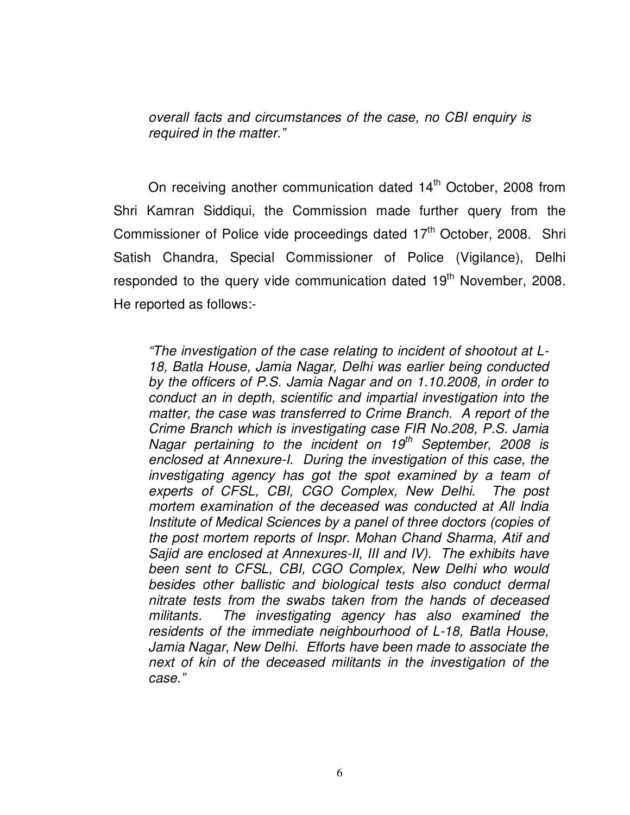overall facts and circumstances of the case, no CBI enquiry is required in the matter."

On receiving another communication dated  $14<sup>th</sup>$  October, 2008 from Shri Kamran Siddiqui, the Commission made further query from the Commissioner of Police vide proceedings dated 17<sup>th</sup> October, 2008. Shri Satish Chandra, Special Commissioner of Police (Vigilance), Delhi responded to the query vide communication dated 19<sup>th</sup> November, 2008. He reported as follows:-

"The investigation of the case relating to incident of shootout at L-18, Batla House, Jamia Nagar, Delhi was earlier being conducted by the officers of P.S. Jamia Nagar and on 1.10.2008, in order to conduct an in depth, scientific and impartial investigation into the matter, the case was transferred to Crime Branch. A report of the Crime Branch which is investigating case FIR No.208, P.S. Jamia Nagar pertaining to the incident on  $19<sup>th</sup>$  September, 2008 is enclosed at Annexure-I. During the investigation of this case, the investigating agency has got the spot examined by a team of experts of CFSL, CBI, CGO Complex, New Delhi. The post mortem examination of the deceased was conducted at All India Institute of Medical Sciences by a panel of three doctors (copies of the post mortem reports of Inspr. Mohan Chand Sharma, Atif and Sajid are enclosed at Annexures-II, III and IV). The exhibits have been sent to CFSL, CBI, CGO Complex, New Delhi who would besides other ballistic and biological tests also conduct dermal nitrate tests from the swabs taken from the hands of deceased militants. The investigating agency has also examined the residents of the immediate neighbourhood of L-18, Batla House, Jamia Nagar, New Delhi. Efforts have been made to associate the next of kin of the deceased militants in the investigation of the case."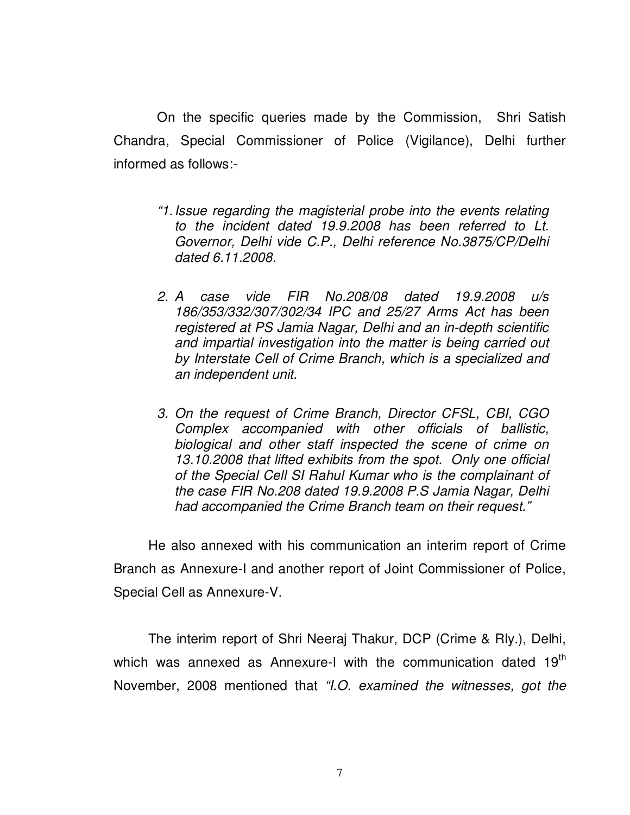On the specific queries made by the Commission, Shri Satish Chandra, Special Commissioner of Police (Vigilance), Delhi further informed as follows:-

- "1. Issue regarding the magisterial probe into the events relating to the incident dated 19.9.2008 has been referred to Lt. Governor, Delhi vide C.P., Delhi reference No.3875/CP/Delhi dated 6.11.2008.
- 2. A case vide FIR No.208/08 dated 19.9.2008 u/s 186/353/332/307/302/34 IPC and 25/27 Arms Act has been registered at PS Jamia Nagar, Delhi and an in-depth scientific and impartial investigation into the matter is being carried out by Interstate Cell of Crime Branch, which is a specialized and an independent unit.
- 3. On the request of Crime Branch, Director CFSL, CBI, CGO Complex accompanied with other officials of ballistic, biological and other staff inspected the scene of crime on 13.10.2008 that lifted exhibits from the spot. Only one official of the Special Cell SI Rahul Kumar who is the complainant of the case FIR No.208 dated 19.9.2008 P.S Jamia Nagar, Delhi had accompanied the Crime Branch team on their request."

 He also annexed with his communication an interim report of Crime Branch as Annexure-I and another report of Joint Commissioner of Police, Special Cell as Annexure-V.

 The interim report of Shri Neeraj Thakur, DCP (Crime & Rly.), Delhi, which was annexed as Annexure-I with the communication dated 19<sup>th</sup> November, 2008 mentioned that "I.O. examined the witnesses, got the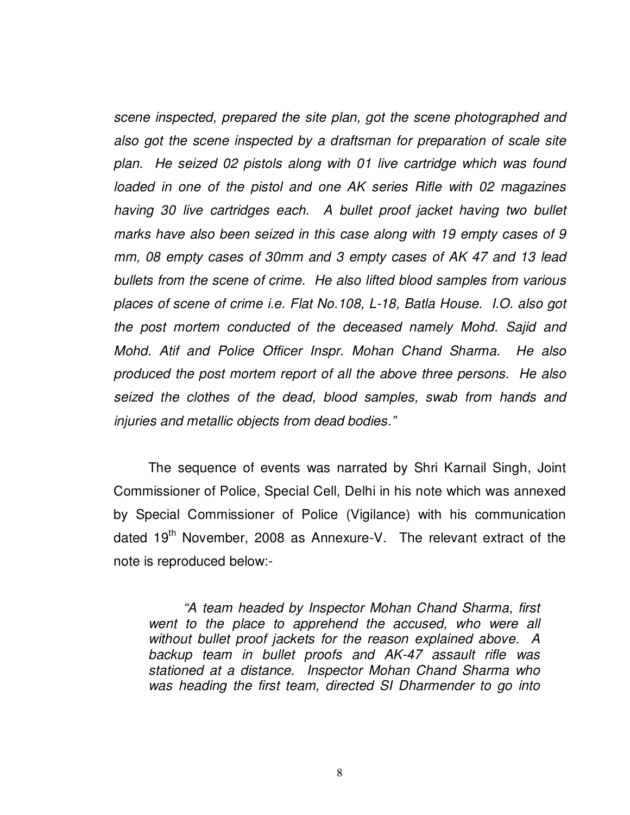scene inspected, prepared the site plan, got the scene photographed and also got the scene inspected by a draftsman for preparation of scale site plan. He seized 02 pistols along with 01 live cartridge which was found loaded in one of the pistol and one AK series Rifle with 02 magazines having 30 live cartridges each. A bullet proof jacket having two bullet marks have also been seized in this case along with 19 empty cases of 9 mm, 08 empty cases of 30mm and 3 empty cases of AK 47 and 13 lead bullets from the scene of crime. He also lifted blood samples from various places of scene of crime i.e. Flat No.108, L-18, Batla House. I.O. also got the post mortem conducted of the deceased namely Mohd. Sajid and Mohd. Atif and Police Officer Inspr. Mohan Chand Sharma. He also produced the post mortem report of all the above three persons. He also seized the clothes of the dead, blood samples, swab from hands and injuries and metallic objects from dead bodies."

 The sequence of events was narrated by Shri Karnail Singh, Joint Commissioner of Police, Special Cell, Delhi in his note which was annexed by Special Commissioner of Police (Vigilance) with his communication dated  $19<sup>th</sup>$  November, 2008 as Annexure-V. The relevant extract of the note is reproduced below:-

 "A team headed by Inspector Mohan Chand Sharma, first went to the place to apprehend the accused, who were all without bullet proof jackets for the reason explained above. A backup team in bullet proofs and AK-47 assault rifle was stationed at a distance. Inspector Mohan Chand Sharma who was heading the first team, directed SI Dharmender to go into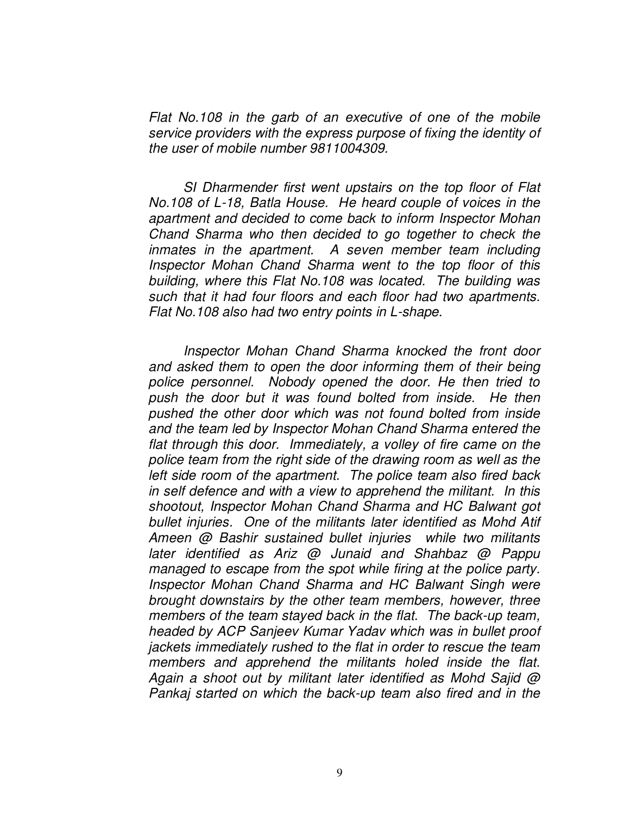Flat No.108 in the garb of an executive of one of the mobile service providers with the express purpose of fixing the identity of the user of mobile number 9811004309.

 SI Dharmender first went upstairs on the top floor of Flat No.108 of L-18, Batla House. He heard couple of voices in the apartment and decided to come back to inform Inspector Mohan Chand Sharma who then decided to go together to check the inmates in the apartment. A seven member team including Inspector Mohan Chand Sharma went to the top floor of this building, where this Flat No.108 was located. The building was such that it had four floors and each floor had two apartments. Flat No.108 also had two entry points in L-shape.

 Inspector Mohan Chand Sharma knocked the front door and asked them to open the door informing them of their being police personnel. Nobody opened the door. He then tried to push the door but it was found bolted from inside. He then pushed the other door which was not found bolted from inside and the team led by Inspector Mohan Chand Sharma entered the flat through this door. Immediately, a volley of fire came on the police team from the right side of the drawing room as well as the left side room of the apartment. The police team also fired back in self defence and with a view to apprehend the militant. In this shootout, Inspector Mohan Chand Sharma and HC Balwant got bullet injuries. One of the militants later identified as Mohd Atif Ameen @ Bashir sustained bullet injuries while two militants later identified as Ariz @ Junaid and Shahbaz @ Pappu managed to escape from the spot while firing at the police party. Inspector Mohan Chand Sharma and HC Balwant Singh were brought downstairs by the other team members, however, three members of the team stayed back in the flat. The back-up team, headed by ACP Sanjeev Kumar Yadav which was in bullet proof jackets immediately rushed to the flat in order to rescue the team members and apprehend the militants holed inside the flat. Again a shoot out by militant later identified as Mohd Sajid @ Pankaj started on which the back-up team also fired and in the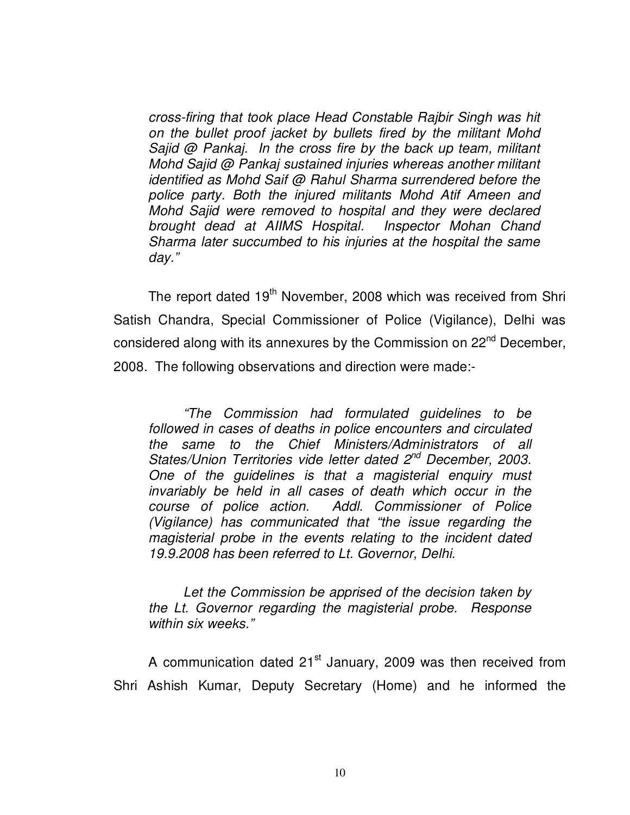cross-firing that took place Head Constable Rajbir Singh was hit on the bullet proof jacket by bullets fired by the militant Mohd Sajid @ Pankaj. In the cross fire by the back up team, militant Mohd Sajid @ Pankaj sustained injuries whereas another militant identified as Mohd Saif @ Rahul Sharma surrendered before the police party. Both the injured militants Mohd Atif Ameen and Mohd Sajid were removed to hospital and they were declared brought dead at AIIMS Hospital. Inspector Mohan Chand Sharma later succumbed to his injuries at the hospital the same day."

The report dated 19<sup>th</sup> November, 2008 which was received from Shri Satish Chandra, Special Commissioner of Police (Vigilance), Delhi was considered along with its annexures by the Commission on 22<sup>nd</sup> December, 2008. The following observations and direction were made:-

 "The Commission had formulated guidelines to be followed in cases of deaths in police encounters and circulated the same to the Chief Ministers/Administrators of all States/Union Territories vide letter dated 2<sup>nd</sup> December, 2003. One of the guidelines is that a magisterial enquiry must invariably be held in all cases of death which occur in the course of police action. Addl. Commissioner of Police (Vigilance) has communicated that "the issue regarding the magisterial probe in the events relating to the incident dated 19.9.2008 has been referred to Lt. Governor, Delhi.

 Let the Commission be apprised of the decision taken by the Lt. Governor regarding the magisterial probe. Response within six weeks."

A communication dated 21<sup>st</sup> January, 2009 was then received from Shri Ashish Kumar, Deputy Secretary (Home) and he informed the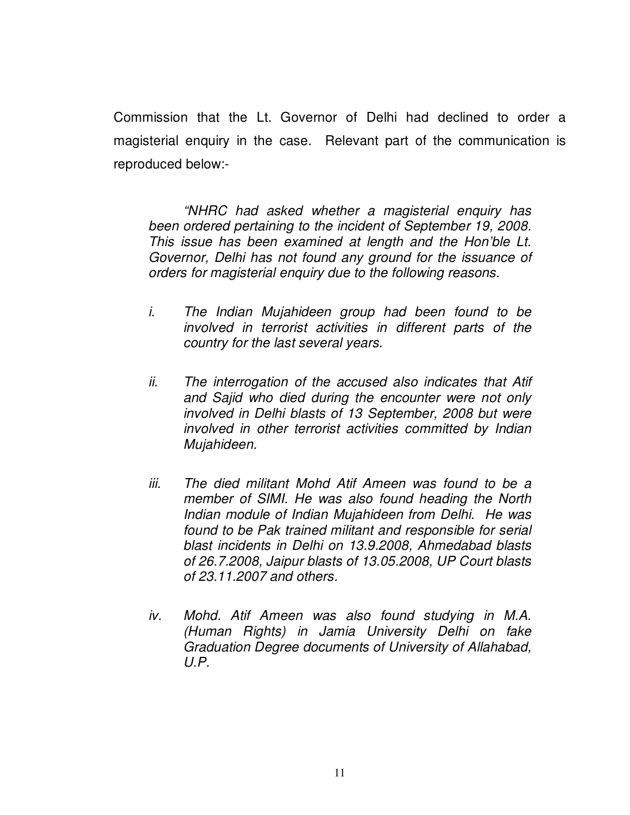Commission that the Lt. Governor of Delhi had declined to order a magisterial enquiry in the case. Relevant part of the communication is reproduced below:-

 "NHRC had asked whether a magisterial enquiry has been ordered pertaining to the incident of September 19, 2008. This issue has been examined at length and the Hon'ble Lt. Governor, Delhi has not found any ground for the issuance of orders for magisterial enquiry due to the following reasons.

- i. The Indian Mujahideen group had been found to be involved in terrorist activities in different parts of the country for the last several years.
- ii. The interrogation of the accused also indicates that Atif and Sajid who died during the encounter were not only involved in Delhi blasts of 13 September, 2008 but were involved in other terrorist activities committed by Indian Mujahideen.
- iii. The died militant Mohd Atif Ameen was found to be a member of SIMI. He was also found heading the North Indian module of Indian Mujahideen from Delhi. He was found to be Pak trained militant and responsible for serial blast incidents in Delhi on 13.9.2008, Ahmedabad blasts of 26.7.2008, Jaipur blasts of 13.05.2008, UP Court blasts of 23.11.2007 and others.
- iv. Mohd. Atif Ameen was also found studying in M.A. (Human Rights) in Jamia University Delhi on fake Graduation Degree documents of University of Allahabad,  $U.P.$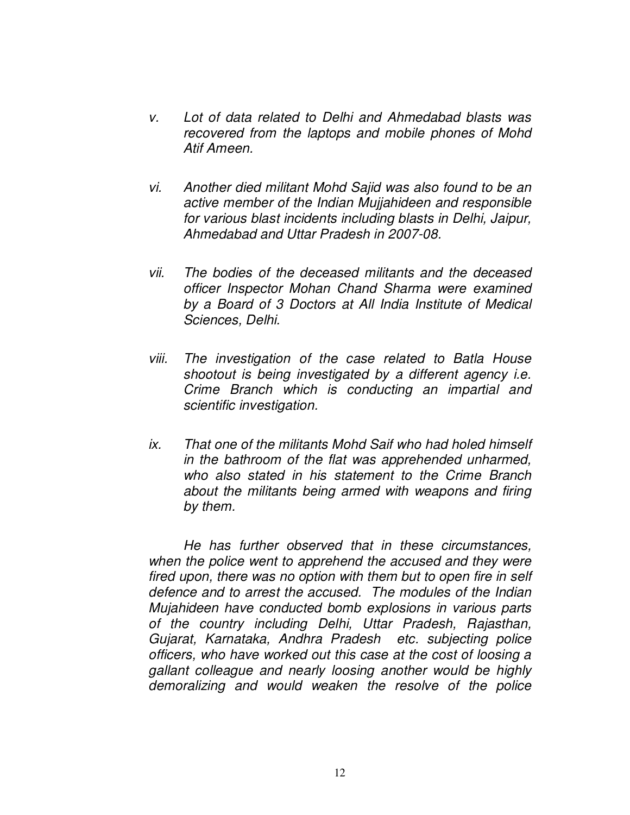- v. Lot of data related to Delhi and Ahmedabad blasts was recovered from the laptops and mobile phones of Mohd Atif Ameen.
- vi. Another died militant Mohd Sajid was also found to be an active member of the Indian Mujjahideen and responsible for various blast incidents including blasts in Delhi, Jaipur, Ahmedabad and Uttar Pradesh in 2007-08.
- vii. The bodies of the deceased militants and the deceased officer Inspector Mohan Chand Sharma were examined by a Board of 3 Doctors at All India Institute of Medical Sciences, Delhi.
- viii. The investigation of the case related to Batla House shootout is being investigated by a different agency *i.e.* Crime Branch which is conducting an impartial and scientific investigation.
- ix. That one of the militants Mohd Saif who had holed himself in the bathroom of the flat was apprehended unharmed, who also stated in his statement to the Crime Branch about the militants being armed with weapons and firing by them.

 He has further observed that in these circumstances, when the police went to apprehend the accused and they were fired upon, there was no option with them but to open fire in self defence and to arrest the accused. The modules of the Indian Mujahideen have conducted bomb explosions in various parts of the country including Delhi, Uttar Pradesh, Rajasthan, Gujarat, Karnataka, Andhra Pradesh etc. subjecting police officers, who have worked out this case at the cost of loosing a gallant colleague and nearly loosing another would be highly demoralizing and would weaken the resolve of the police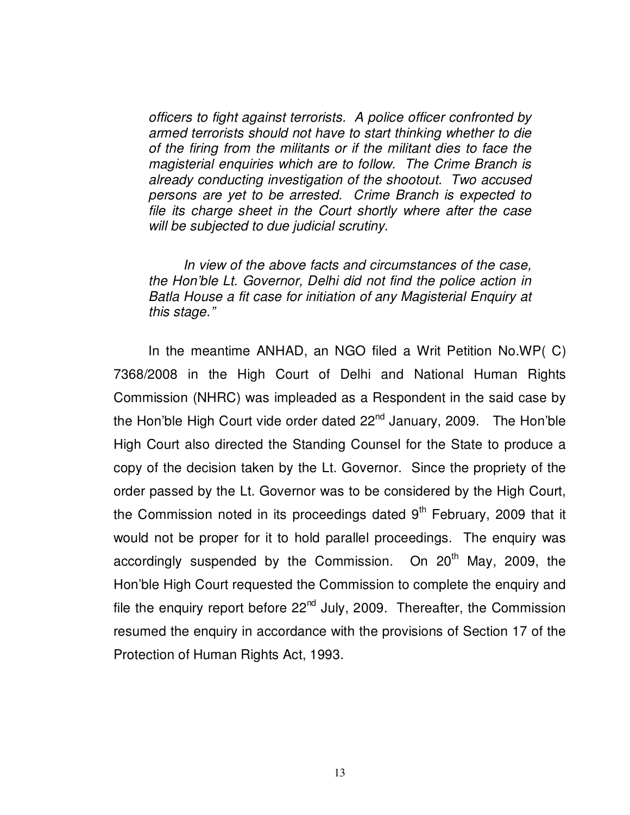officers to fight against terrorists. A police officer confronted by armed terrorists should not have to start thinking whether to die of the firing from the militants or if the militant dies to face the magisterial enquiries which are to follow. The Crime Branch is already conducting investigation of the shootout. Two accused persons are yet to be arrested. Crime Branch is expected to file its charge sheet in the Court shortly where after the case will be subjected to due judicial scrutiny.

 In view of the above facts and circumstances of the case, the Hon'ble Lt. Governor, Delhi did not find the police action in Batla House a fit case for initiation of any Magisterial Enquiry at this stage."

In the meantime ANHAD, an NGO filed a Writ Petition No.WP( C) 7368/2008 in the High Court of Delhi and National Human Rights Commission (NHRC) was impleaded as a Respondent in the said case by the Hon'ble High Court vide order dated  $22^{nd}$  January, 2009. The Hon'ble High Court also directed the Standing Counsel for the State to produce a copy of the decision taken by the Lt. Governor. Since the propriety of the order passed by the Lt. Governor was to be considered by the High Court, the Commission noted in its proceedings dated  $9<sup>th</sup>$  February, 2009 that it would not be proper for it to hold parallel proceedings. The enquiry was accordingly suspended by the Commission. On 20<sup>th</sup> May, 2009, the Hon'ble High Court requested the Commission to complete the enquiry and file the enquiry report before  $22^{nd}$  July, 2009. Thereafter, the Commission resumed the enquiry in accordance with the provisions of Section 17 of the Protection of Human Rights Act, 1993.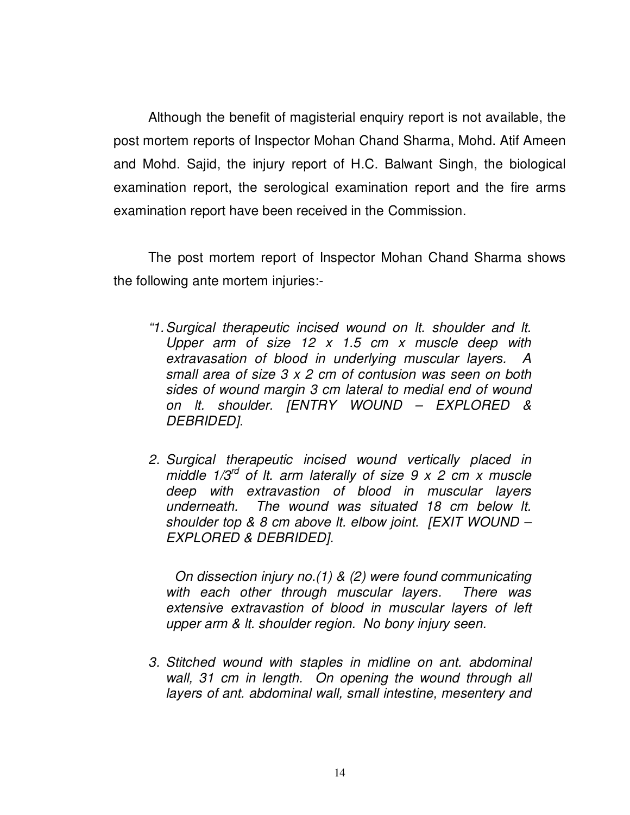Although the benefit of magisterial enquiry report is not available, the post mortem reports of Inspector Mohan Chand Sharma, Mohd. Atif Ameen and Mohd. Sajid, the injury report of H.C. Balwant Singh, the biological examination report, the serological examination report and the fire arms examination report have been received in the Commission.

 The post mortem report of Inspector Mohan Chand Sharma shows the following ante mortem injuries:-

- "1. Surgical therapeutic incised wound on lt. shoulder and lt. Upper arm of size  $12 \times 1.5$  cm x muscle deep with extravasation of blood in underlying muscular layers. A small area of size 3 x 2 cm of contusion was seen on both sides of wound margin 3 cm lateral to medial end of wound on lt. shoulder. [ENTRY WOUND – EXPLORED & DEBRIDED].
- 2. Surgical therapeutic incised wound vertically placed in middle  $1/3^{rd}$  of It. arm laterally of size 9 x 2 cm x muscle deep with extravastion of blood in muscular layers underneath. The wound was situated 18 cm below lt. shoulder top & 8 cm above It. elbow joint. [EXIT WOUND – EXPLORED & DEBRIDED].

 On dissection injury no.(1) & (2) were found communicating with each other through muscular layers. There was extensive extravastion of blood in muscular layers of left upper arm & lt. shoulder region. No bony injury seen.

3. Stitched wound with staples in midline on ant. abdominal wall, 31 cm in length. On opening the wound through all layers of ant. abdominal wall, small intestine, mesentery and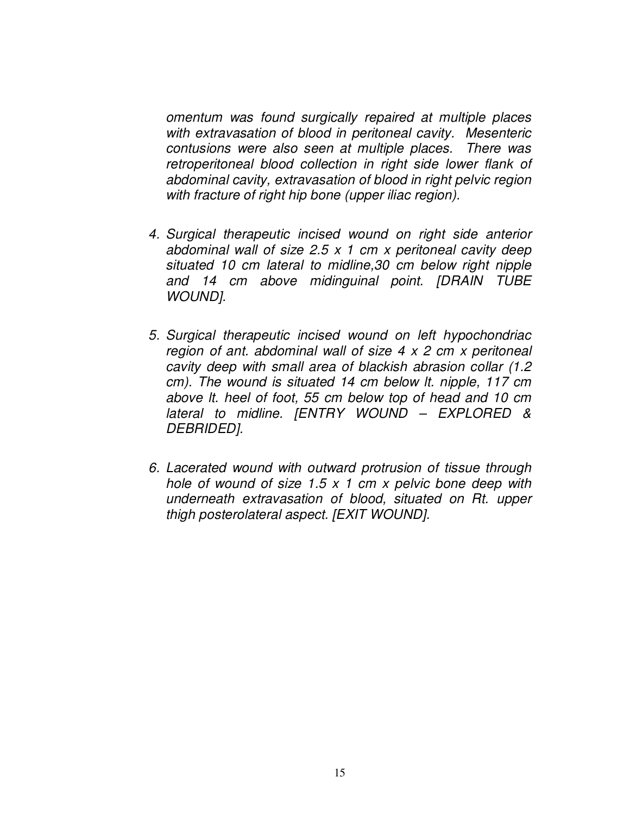omentum was found surgically repaired at multiple places with extravasation of blood in peritoneal cavity. Mesenteric contusions were also seen at multiple places. There was retroperitoneal blood collection in right side lower flank of abdominal cavity, extravasation of blood in right pelvic region with fracture of right hip bone (upper iliac region).

- 4. Surgical therapeutic incised wound on right side anterior abdominal wall of size 2.5  $\times$  1 cm  $\times$  peritoneal cavity deep situated 10 cm lateral to midline,30 cm below right nipple and 14 cm above midinguinal point. [DRAIN TUBE WOUND].
- 5. Surgical therapeutic incised wound on left hypochondriac region of ant. abdominal wall of size  $4 \times 2$  cm  $x$  peritoneal cavity deep with small area of blackish abrasion collar (1.2 cm). The wound is situated 14 cm below lt. nipple, 117 cm above lt. heel of foot, 55 cm below top of head and 10 cm lateral to midline. [ENTRY WOUND – EXPLORED & DEBRIDED].
- 6. Lacerated wound with outward protrusion of tissue through hole of wound of size  $1.5 \times 1$  cm x pelvic bone deep with underneath extravasation of blood, situated on Rt. upper thigh posterolateral aspect. [EXIT WOUND].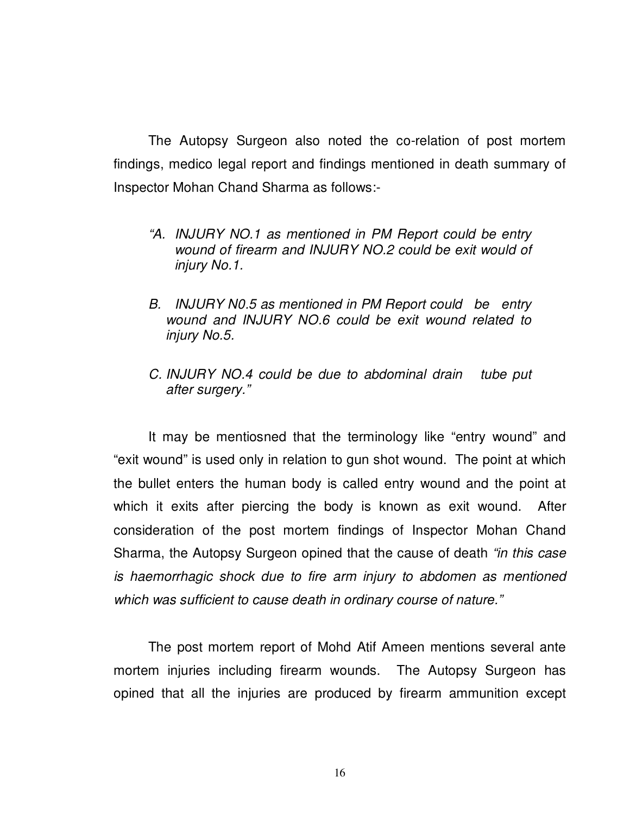The Autopsy Surgeon also noted the co-relation of post mortem findings, medico legal report and findings mentioned in death summary of Inspector Mohan Chand Sharma as follows:-

- "A. INJURY NO.1 as mentioned in PM Report could be entry wound of firearm and INJURY NO.2 could be exit would of injury No.1.
- B. INJURY N0.5 as mentioned in PM Report could be entry wound and INJURY NO.6 could be exit wound related to injury No.5.
- C. INJURY NO.4 could be due to abdominal drain tube put after surgery."

 It may be mentiosned that the terminology like "entry wound" and "exit wound" is used only in relation to gun shot wound. The point at which the bullet enters the human body is called entry wound and the point at which it exits after piercing the body is known as exit wound. After consideration of the post mortem findings of Inspector Mohan Chand Sharma, the Autopsy Surgeon opined that the cause of death "in this case" is haemorrhagic shock due to fire arm injury to abdomen as mentioned which was sufficient to cause death in ordinary course of nature."

 The post mortem report of Mohd Atif Ameen mentions several ante mortem injuries including firearm wounds. The Autopsy Surgeon has opined that all the injuries are produced by firearm ammunition except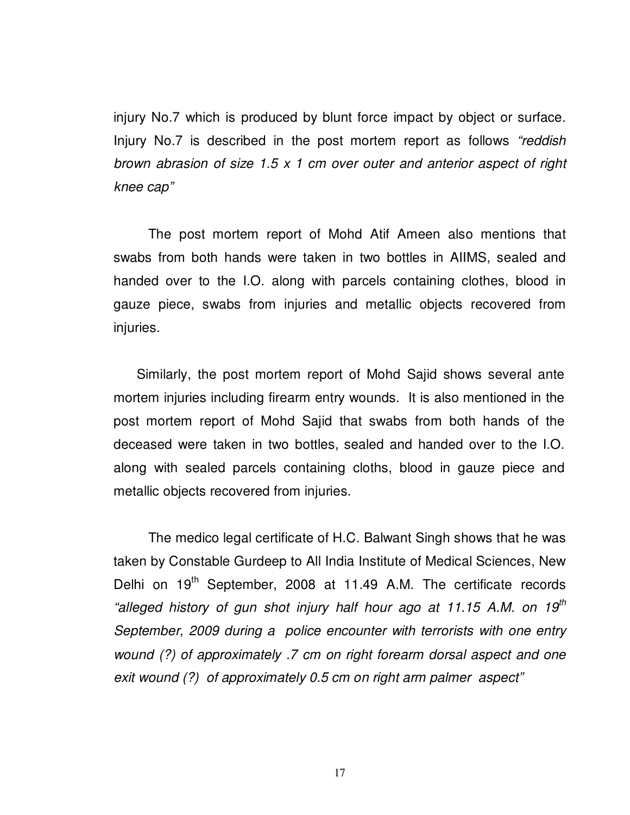injury No.7 which is produced by blunt force impact by object or surface. Injury No.7 is described in the post mortem report as follows "reddish brown abrasion of size 1.5 x 1 cm over outer and anterior aspect of right knee cap"

The post mortem report of Mohd Atif Ameen also mentions that swabs from both hands were taken in two bottles in AIIMS, sealed and handed over to the I.O. along with parcels containing clothes, blood in gauze piece, swabs from injuries and metallic objects recovered from injuries.

 Similarly, the post mortem report of Mohd Sajid shows several ante mortem injuries including firearm entry wounds. It is also mentioned in the post mortem report of Mohd Sajid that swabs from both hands of the deceased were taken in two bottles, sealed and handed over to the I.O. along with sealed parcels containing cloths, blood in gauze piece and metallic objects recovered from injuries.

 The medico legal certificate of H.C. Balwant Singh shows that he was taken by Constable Gurdeep to All India Institute of Medical Sciences, New Delhi on 19<sup>th</sup> September, 2008 at 11.49 A.M. The certificate records "alleged history of gun shot injury half hour ago at 11.15 A.M. on 19<sup>th</sup> September, 2009 during a police encounter with terrorists with one entry wound (?) of approximately .7 cm on right forearm dorsal aspect and one exit wound (?) of approximately 0.5 cm on right arm palmer aspect"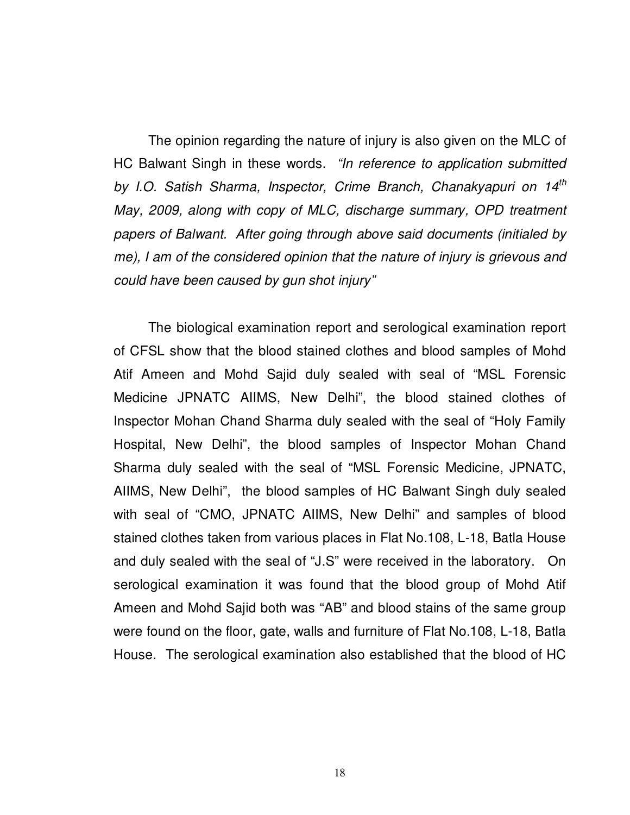The opinion regarding the nature of injury is also given on the MLC of HC Balwant Singh in these words. "In reference to application submitted by I.O. Satish Sharma, Inspector, Crime Branch, Chanakyapuri on 14<sup>th</sup> May, 2009, along with copy of MLC, discharge summary, OPD treatment papers of Balwant. After going through above said documents (initialed by me), I am of the considered opinion that the nature of injury is grievous and could have been caused by gun shot injury"

 The biological examination report and serological examination report of CFSL show that the blood stained clothes and blood samples of Mohd Atif Ameen and Mohd Sajid duly sealed with seal of "MSL Forensic Medicine JPNATC AIIMS, New Delhi", the blood stained clothes of Inspector Mohan Chand Sharma duly sealed with the seal of "Holy Family Hospital, New Delhi", the blood samples of Inspector Mohan Chand Sharma duly sealed with the seal of "MSL Forensic Medicine, JPNATC, AIIMS, New Delhi", the blood samples of HC Balwant Singh duly sealed with seal of "CMO, JPNATC AIIMS, New Delhi" and samples of blood stained clothes taken from various places in Flat No.108, L-18, Batla House and duly sealed with the seal of "J.S" were received in the laboratory. On serological examination it was found that the blood group of Mohd Atif Ameen and Mohd Sajid both was "AB" and blood stains of the same group were found on the floor, gate, walls and furniture of Flat No.108, L-18, Batla House. The serological examination also established that the blood of HC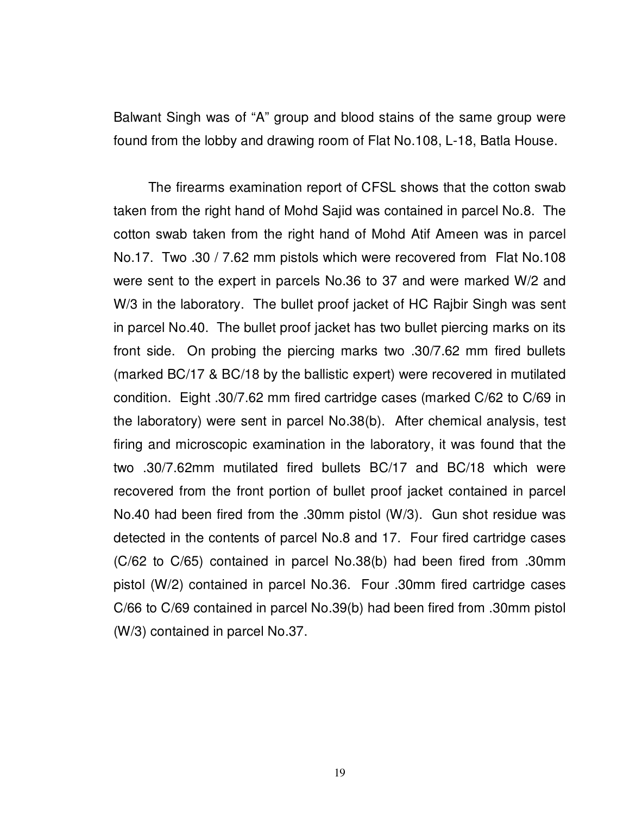Balwant Singh was of "A" group and blood stains of the same group were found from the lobby and drawing room of Flat No.108, L-18, Batla House.

 The firearms examination report of CFSL shows that the cotton swab taken from the right hand of Mohd Sajid was contained in parcel No.8. The cotton swab taken from the right hand of Mohd Atif Ameen was in parcel No.17. Two .30 / 7.62 mm pistols which were recovered from Flat No.108 were sent to the expert in parcels No.36 to 37 and were marked W/2 and W/3 in the laboratory. The bullet proof jacket of HC Rajbir Singh was sent in parcel No.40. The bullet proof jacket has two bullet piercing marks on its front side. On probing the piercing marks two .30/7.62 mm fired bullets (marked BC/17 & BC/18 by the ballistic expert) were recovered in mutilated condition. Eight .30/7.62 mm fired cartridge cases (marked C/62 to C/69 in the laboratory) were sent in parcel No.38(b). After chemical analysis, test firing and microscopic examination in the laboratory, it was found that the two .30/7.62mm mutilated fired bullets BC/17 and BC/18 which were recovered from the front portion of bullet proof jacket contained in parcel No.40 had been fired from the .30mm pistol (W/3). Gun shot residue was detected in the contents of parcel No.8 and 17. Four fired cartridge cases (C/62 to C/65) contained in parcel No.38(b) had been fired from .30mm pistol (W/2) contained in parcel No.36. Four .30mm fired cartridge cases C/66 to C/69 contained in parcel No.39(b) had been fired from .30mm pistol (W/3) contained in parcel No.37.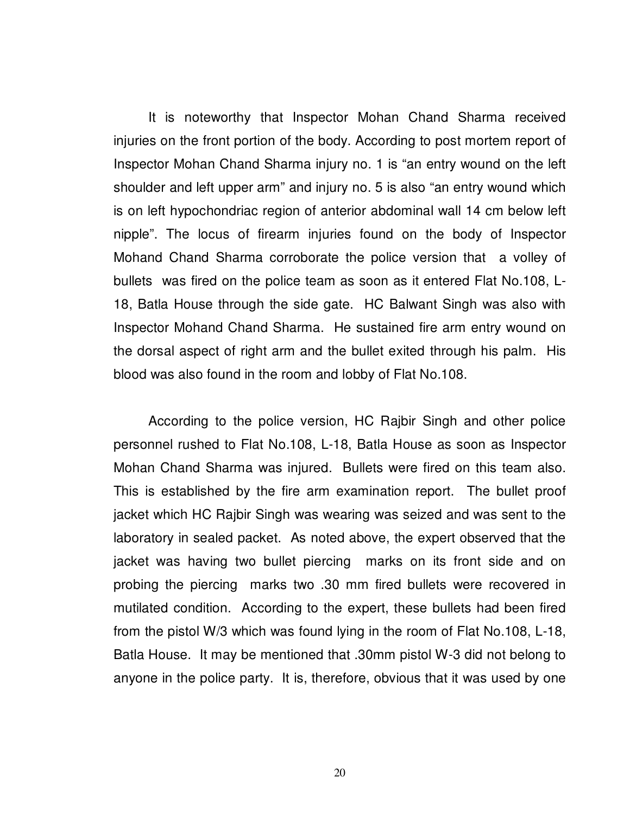It is noteworthy that Inspector Mohan Chand Sharma received injuries on the front portion of the body. According to post mortem report of Inspector Mohan Chand Sharma injury no. 1 is "an entry wound on the left shoulder and left upper arm" and injury no. 5 is also "an entry wound which is on left hypochondriac region of anterior abdominal wall 14 cm below left nipple". The locus of firearm injuries found on the body of Inspector Mohand Chand Sharma corroborate the police version that a volley of bullets was fired on the police team as soon as it entered Flat No.108, L-18, Batla House through the side gate. HC Balwant Singh was also with Inspector Mohand Chand Sharma. He sustained fire arm entry wound on the dorsal aspect of right arm and the bullet exited through his palm. His blood was also found in the room and lobby of Flat No.108.

 According to the police version, HC Rajbir Singh and other police personnel rushed to Flat No.108, L-18, Batla House as soon as Inspector Mohan Chand Sharma was injured. Bullets were fired on this team also. This is established by the fire arm examination report. The bullet proof jacket which HC Rajbir Singh was wearing was seized and was sent to the laboratory in sealed packet. As noted above, the expert observed that the jacket was having two bullet piercing marks on its front side and on probing the piercing marks two .30 mm fired bullets were recovered in mutilated condition. According to the expert, these bullets had been fired from the pistol W/3 which was found lying in the room of Flat No.108, L-18, Batla House. It may be mentioned that .30mm pistol W-3 did not belong to anyone in the police party. It is, therefore, obvious that it was used by one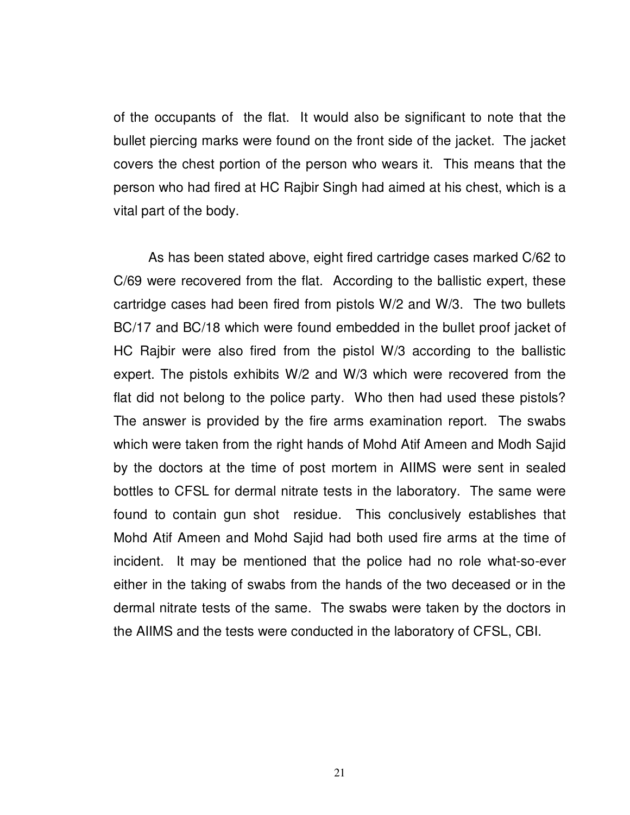of the occupants of the flat. It would also be significant to note that the bullet piercing marks were found on the front side of the jacket. The jacket covers the chest portion of the person who wears it. This means that the person who had fired at HC Rajbir Singh had aimed at his chest, which is a vital part of the body.

 As has been stated above, eight fired cartridge cases marked C/62 to C/69 were recovered from the flat. According to the ballistic expert, these cartridge cases had been fired from pistols W/2 and W/3. The two bullets BC/17 and BC/18 which were found embedded in the bullet proof jacket of HC Rajbir were also fired from the pistol W/3 according to the ballistic expert. The pistols exhibits W/2 and W/3 which were recovered from the flat did not belong to the police party. Who then had used these pistols? The answer is provided by the fire arms examination report. The swabs which were taken from the right hands of Mohd Atif Ameen and Modh Sajid by the doctors at the time of post mortem in AIIMS were sent in sealed bottles to CFSL for dermal nitrate tests in the laboratory. The same were found to contain gun shot residue. This conclusively establishes that Mohd Atif Ameen and Mohd Sajid had both used fire arms at the time of incident. It may be mentioned that the police had no role what-so-ever either in the taking of swabs from the hands of the two deceased or in the dermal nitrate tests of the same. The swabs were taken by the doctors in the AIIMS and the tests were conducted in the laboratory of CFSL, CBI.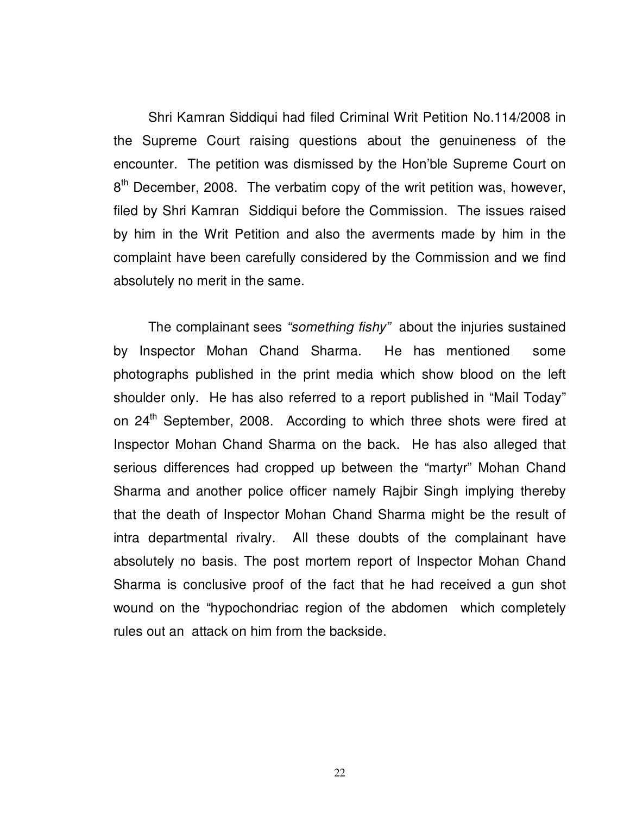Shri Kamran Siddiqui had filed Criminal Writ Petition No.114/2008 in the Supreme Court raising questions about the genuineness of the encounter. The petition was dismissed by the Hon'ble Supreme Court on 8<sup>th</sup> December, 2008. The verbatim copy of the writ petition was, however, filed by Shri Kamran Siddiqui before the Commission. The issues raised by him in the Writ Petition and also the averments made by him in the complaint have been carefully considered by the Commission and we find absolutely no merit in the same.

 The complainant sees "something fishy" about the injuries sustained by Inspector Mohan Chand Sharma. He has mentioned some photographs published in the print media which show blood on the left shoulder only. He has also referred to a report published in "Mail Today" on 24<sup>th</sup> September, 2008. According to which three shots were fired at Inspector Mohan Chand Sharma on the back. He has also alleged that serious differences had cropped up between the "martyr" Mohan Chand Sharma and another police officer namely Rajbir Singh implying thereby that the death of Inspector Mohan Chand Sharma might be the result of intra departmental rivalry. All these doubts of the complainant have absolutely no basis. The post mortem report of Inspector Mohan Chand Sharma is conclusive proof of the fact that he had received a gun shot wound on the "hypochondriac region of the abdomen which completely rules out an attack on him from the backside.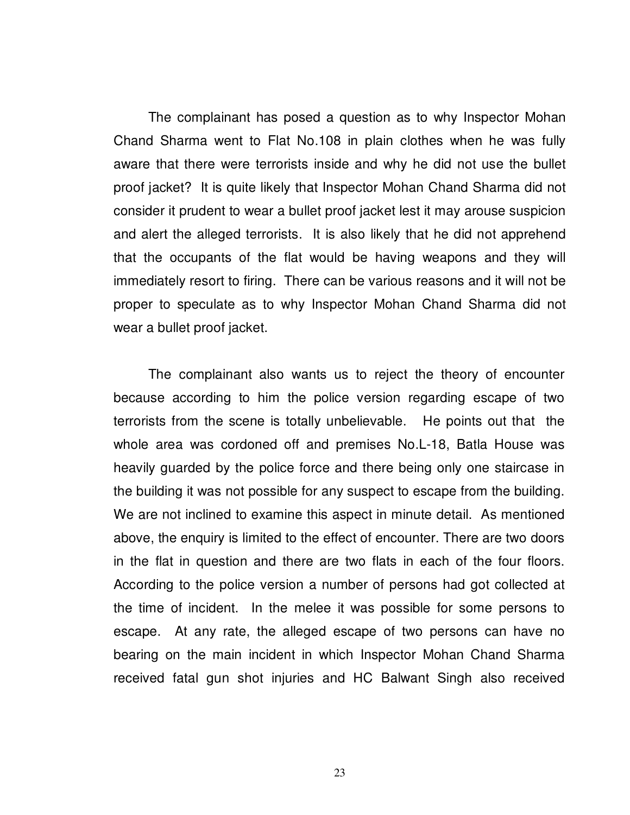The complainant has posed a question as to why Inspector Mohan Chand Sharma went to Flat No.108 in plain clothes when he was fully aware that there were terrorists inside and why he did not use the bullet proof jacket? It is quite likely that Inspector Mohan Chand Sharma did not consider it prudent to wear a bullet proof jacket lest it may arouse suspicion and alert the alleged terrorists. It is also likely that he did not apprehend that the occupants of the flat would be having weapons and they will immediately resort to firing. There can be various reasons and it will not be proper to speculate as to why Inspector Mohan Chand Sharma did not wear a bullet proof jacket.

The complainant also wants us to reject the theory of encounter because according to him the police version regarding escape of two terrorists from the scene is totally unbelievable. He points out that the whole area was cordoned off and premises No.L-18, Batla House was heavily guarded by the police force and there being only one staircase in the building it was not possible for any suspect to escape from the building. We are not inclined to examine this aspect in minute detail. As mentioned above, the enquiry is limited to the effect of encounter. There are two doors in the flat in question and there are two flats in each of the four floors. According to the police version a number of persons had got collected at the time of incident. In the melee it was possible for some persons to escape. At any rate, the alleged escape of two persons can have no bearing on the main incident in which Inspector Mohan Chand Sharma received fatal gun shot injuries and HC Balwant Singh also received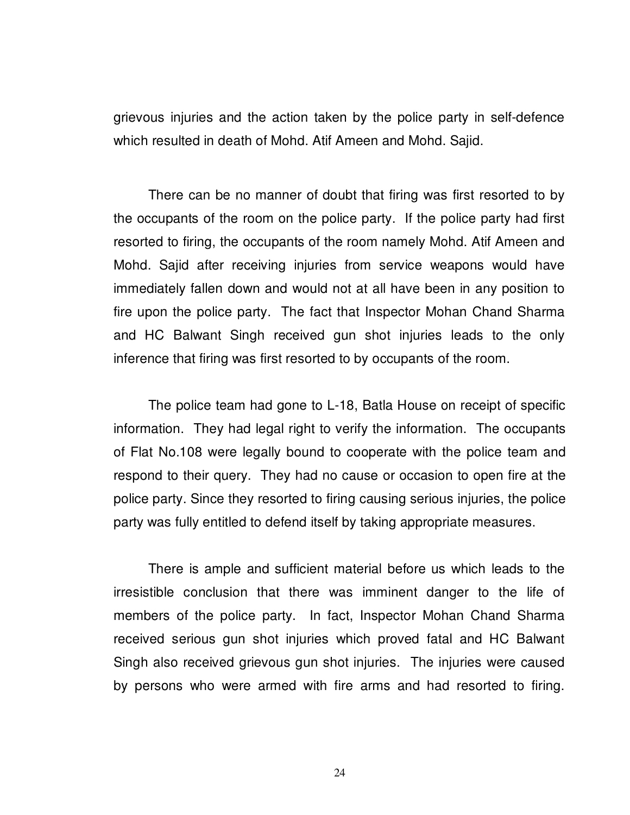grievous injuries and the action taken by the police party in self-defence which resulted in death of Mohd. Atif Ameen and Mohd. Sajid.

There can be no manner of doubt that firing was first resorted to by the occupants of the room on the police party. If the police party had first resorted to firing, the occupants of the room namely Mohd. Atif Ameen and Mohd. Sajid after receiving injuries from service weapons would have immediately fallen down and would not at all have been in any position to fire upon the police party. The fact that Inspector Mohan Chand Sharma and HC Balwant Singh received gun shot injuries leads to the only inference that firing was first resorted to by occupants of the room.

 The police team had gone to L-18, Batla House on receipt of specific information. They had legal right to verify the information. The occupants of Flat No.108 were legally bound to cooperate with the police team and respond to their query. They had no cause or occasion to open fire at the police party. Since they resorted to firing causing serious injuries, the police party was fully entitled to defend itself by taking appropriate measures.

There is ample and sufficient material before us which leads to the irresistible conclusion that there was imminent danger to the life of members of the police party. In fact, Inspector Mohan Chand Sharma received serious gun shot injuries which proved fatal and HC Balwant Singh also received grievous gun shot injuries. The injuries were caused by persons who were armed with fire arms and had resorted to firing.